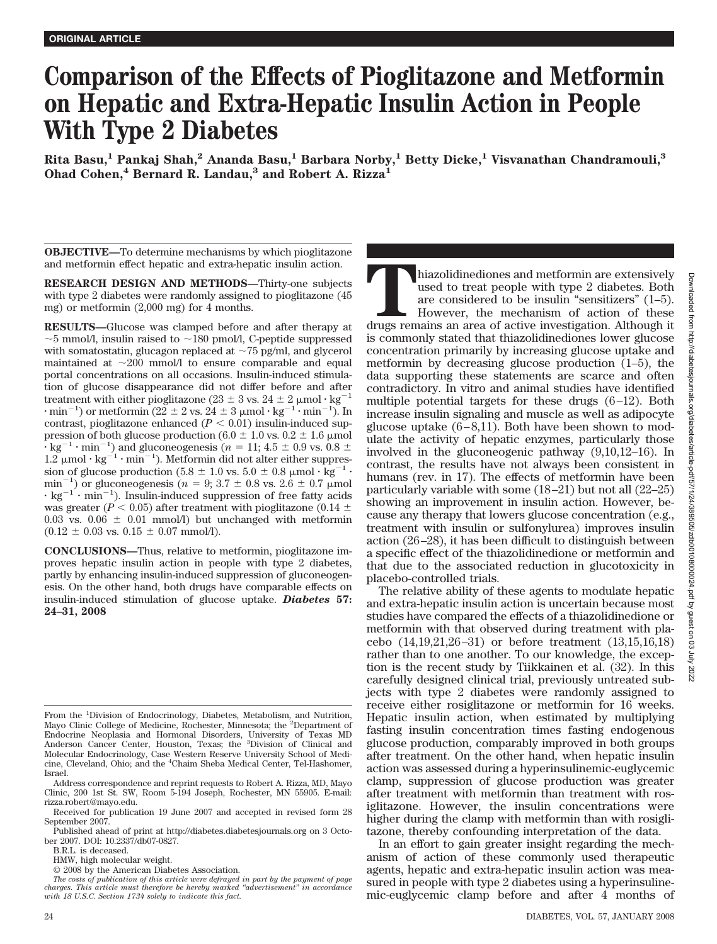# **Comparison of the Effects of Pioglitazone and Metformin on Hepatic and Extra-Hepatic Insulin Action in People With Type 2 Diabetes**

**Rita Basu,1 Pankaj Shah,2 Ananda Basu,1 Barbara Norby,1 Betty Dicke,1 Visvanathan Chandramouli,3 Ohad Cohen,4 Bernard R. Landau,3 and Robert A. Rizza1**

**OBJECTIVE—**To determine mechanisms by which pioglitazone and metformin effect hepatic and extra-hepatic insulin action.

**RESEARCH DESIGN AND METHODS—**Thirty-one subjects with type 2 diabetes were randomly assigned to pioglitazone (45 mg) or metformin (2,000 mg) for 4 months.

**RESULTS—**Glucose was clamped before and after therapy at  $\sim$ 5 mmol/l, insulin raised to  $\sim$ 180 pmol/l, C-peptide suppressed with somatostatin, glucagon replaced at  $\sim$  75 pg/ml, and glycerol maintained at  $\sim$ 200 mmol/l to ensure comparable and equal portal concentrations on all occasions. Insulin-induced stimulation of glucose disappearance did not differ before and after treatment with either pioglitazone (23  $\pm$  3 vs. 24  $\pm$  2 µmol·kg<sup>-1</sup>  $\cdot$  min<sup>-1</sup>) or metformin (22  $\pm$  2 vs. 24  $\pm$  3 µmol  $\cdot$  kg<sup>-1</sup> $\cdot$  min<sup>-1</sup>). In contrast, pioglitazone enhanced  $(P < 0.01)$  insulin-induced suppression of both glucose production (6.0  $\pm$  1.0 vs. 0.2  $\pm$  1.6 µmol  $\mathbf{R} \cdot \mathbf{kg}^{-1} \cdot \text{min}^{-1}$ ) and gluconeogenesis ( $n = 11; 4.5 \pm 0.9$  vs.  $0.8 \pm 1.2$  µmol·kg<sup>-1</sup>·min<sup>-1</sup>). Metformin did not alter either suppression of glucose production (5.8  $\pm$  1.0 vs. 5.0  $\pm$  0.8  $\mu$ mol· $\text{kg}^{-1}$ · min<sup>-1</sup>) or gluconeogenesis ( $n = 9$ ; 3.7  $\pm$  0.8 vs. 2.6  $\pm$  0.7  $\mu$ mol  $\cdot$  kg<sup>-1</sup> $\cdot$  min<sup>-1</sup>). Insulin-induced suppression of free fatty acids was greater ( $P < 0.05$ ) after treatment with pioglitazone (0.14  $\pm$ 0.03 vs.  $0.06 \pm 0.01$  mmol/l) but unchanged with metformin  $(0.12 \pm 0.03 \text{ vs. } 0.15 \pm 0.07 \text{ mmol/l}).$ 

**CONCLUSIONS—**Thus, relative to metformin, pioglitazone improves hepatic insulin action in people with type 2 diabetes, partly by enhancing insulin-induced suppression of gluconeogenesis. On the other hand, both drugs have comparable effects on insulin-induced stimulation of glucose uptake. *Diabetes* **57: 24–31, 2008**

HMW, high molecular weight.

© 2008 by the American Diabetes Association.

*The costs of publication of this article were defrayed in part by the payment of page charges. This article must therefore be hereby marked "advertisement" in accordance with 18 U.S.C. Section 1734 solely to indicate this fact.*

hiazolidinediones and metformin are extensively used to treat people with type 2 diabetes. Both are considered to be insulin "sensitizers" (1–5). However, the mechanism of action of these drugs remains an area of active in used to treat people with type 2 diabetes. Both are considered to be insulin "sensitizers" (1–5). However, the mechanism of action of these drugs remains an area of active investigation. Although it is commonly stated that thiazolidinediones lower glucose concentration primarily by increasing glucose uptake and metformin by decreasing glucose production (1–5), the data supporting these statements are scarce and often contradictory. In vitro and animal studies have identified multiple potential targets for these drugs (6–12). Both increase insulin signaling and muscle as well as adipocyte glucose uptake  $(6-8,11)$ . Both have been shown to modulate the activity of hepatic enzymes, particularly those involved in the gluconeogenic pathway (9,10,12–16). In contrast, the results have not always been consistent in humans (rev. in 17). The effects of metformin have been particularly variable with some (18–21) but not all (22–25) showing an improvement in insulin action. However, because any therapy that lowers glucose concentration (e.g., treatment with insulin or sulfonylurea) improves insulin action (26–28), it has been difficult to distinguish between a specific effect of the thiazolidinedione or metformin and that due to the associated reduction in glucotoxicity in placebo-controlled trials.

The relative ability of these agents to modulate hepatic and extra-hepatic insulin action is uncertain because most studies have compared the effects of a thiazolidinedione or metformin with that observed during treatment with placebo (14,19,21,26–31) or before treatment (13,15,16,18) rather than to one another. To our knowledge, the exception is the recent study by Tiikkainen et al. (32). In this carefully designed clinical trial, previously untreated subjects with type 2 diabetes were randomly assigned to receive either rosiglitazone or metformin for 16 weeks. Hepatic insulin action, when estimated by multiplying fasting insulin concentration times fasting endogenous glucose production, comparably improved in both groups after treatment. On the other hand, when hepatic insulin action was assessed during a hyperinsulinemic-euglycemic clamp, suppression of glucose production was greater after treatment with metformin than treatment with rosiglitazone. However, the insulin concentrations were higher during the clamp with metformin than with rosiglitazone, thereby confounding interpretation of the data.

In an effort to gain greater insight regarding the mechanism of action of these commonly used therapeutic agents, hepatic and extra-hepatic insulin action was measured in people with type 2 diabetes using a hyperinsulinemic-euglycemic clamp before and after 4 months of

From the <sup>1</sup>Division of Endocrinology, Diabetes, Metabolism, and Nutrition, Mayo Clinic College of Medicine, Rochester, Minnesota; the <sup>2</sup>Department of Endocrine Neoplasia and Hormonal Disorders, University of Texas MD Anderson Cancer Center, Houston, Texas; the <sup>3</sup>Division of Clinical and Molecular Endocrinology, Case Western Reserve University School of Medicine, Cleveland, Ohio; and the <sup>4</sup> Chaim Sheba Medical Center, Tel-Hashomer, Israel.

Address correspondence and reprint requests to Robert A. Rizza, MD, Mayo Clinic, 200 1st St. SW, Room 5-194 Joseph, Rochester, MN 55905. E-mail: rizza.robert@mayo.edu.

Received for publication 19 June 2007 and accepted in revised form 28 September 2007.

Published ahead of print at http://diabetes.diabetesjournals.org on 3 October 2007. DOI: 10.2337/db07-0827.

B.R.L. is deceased.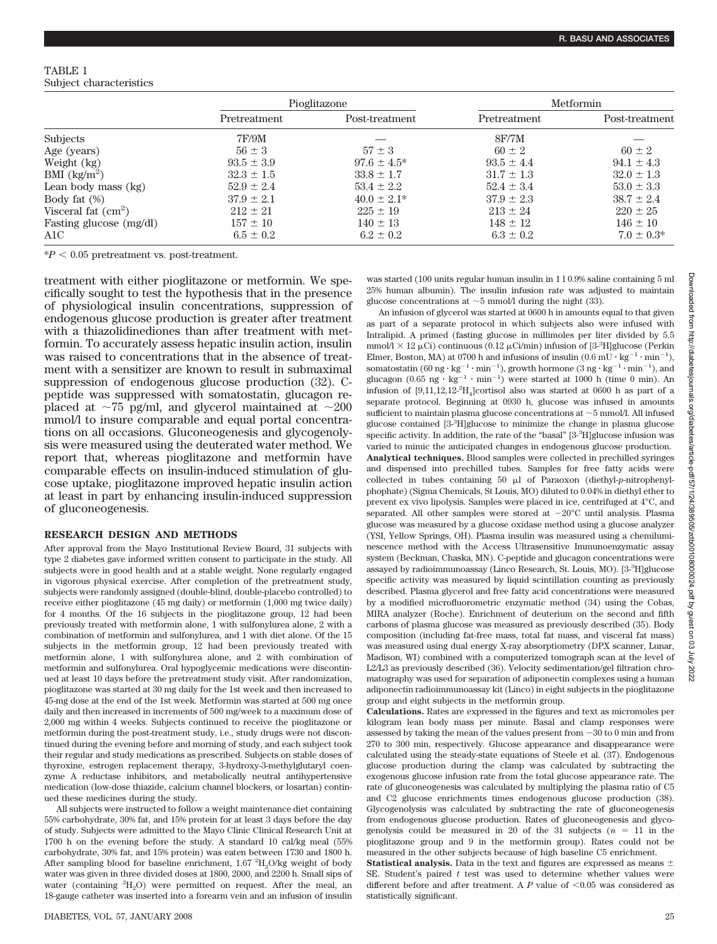## TABLE 1 Subject characteristics

|                                    | Pioglitazone   |                  | Metformin      |                 |
|------------------------------------|----------------|------------------|----------------|-----------------|
|                                    | Pretreatment   | Post-treatment   | Pretreatment   | Post-treatment  |
| Subjects                           | 7F/9M          |                  | 8F/TM          |                 |
| Age (years)                        | $56 \pm 3$     | $57 \pm 3$       | $60 \pm 2$     | $60 \pm 2$      |
| Weight (kg)                        | $93.5 \pm 3.9$ | $97.6 \pm 4.5^*$ | $93.5 \pm 4.4$ | $94.1 \pm 4.3$  |
| BMI $\frac{\text{kg}}{\text{m}^2}$ | $32.3 \pm 1.5$ | $33.8 \pm 1.7$   | $31.7 \pm 1.3$ | $32.0 \pm 1.3$  |
| Lean body mass (kg)                | $52.9 \pm 2.4$ | $53.4 \pm 2.2$   | $52.4 \pm 3.4$ | $53.0 \pm 3.3$  |
| Body fat $(\%)$                    | $37.9 \pm 2.1$ | $40.0 \pm 2.1*$  | $37.9 \pm 2.3$ | $38.7 \pm 2.4$  |
| Visceral fat $(cm2)$               | $212 \pm 21$   | $225 \pm 19$     | $213 \pm 24$   | $220 \pm 25$    |
| Fasting glucose (mg/dl)            | $157 \pm 10$   | $140 \pm 13$     | $148 \pm 12$   | $146 \pm 10$    |
| A1C                                | $6.5 \pm 0.2$  | $6.2 \pm 0.2$    | $6.3 \pm 0.2$  | $7.0 \pm 0.3^*$ |

 $*P < 0.05$  pretreatment vs. post-treatment.

treatment with either pioglitazone or metformin. We specifically sought to test the hypothesis that in the presence of physiological insulin concentrations, suppression of endogenous glucose production is greater after treatment with a thiazolidinediones than after treatment with metformin. To accurately assess hepatic insulin action, insulin was raised to concentrations that in the absence of treatment with a sensitizer are known to result in submaximal suppression of endogenous glucose production (32). Cpeptide was suppressed with somatostatin, glucagon replaced at  $\sim$ 75 pg/ml, and glycerol maintained at  $\sim$ 200 mmol/l to insure comparable and equal portal concentrations on all occasions. Gluconeogenesis and glycogenolysis were measured using the deuterated water method. We report that, whereas pioglitazone and metformin have comparable effects on insulin-induced stimulation of glucose uptake, pioglitazone improved hepatic insulin action at least in part by enhancing insulin-induced suppression of gluconeogenesis.

## **RESEARCH DESIGN AND METHODS**

After approval from the Mayo Institutional Review Board, 31 subjects with type 2 diabetes gave informed written consent to participate in the study. All subjects were in good health and at a stable weight. None regularly engaged in vigorous physical exercise. After completion of the pretreatment study, subjects were randomly assigned (double-blind, double-placebo controlled) to receive either pioglitazone (45 mg daily) or metformin (1,000 mg twice daily) for 4 months. Of the 16 subjects in the pioglitazone group, 12 had been previously treated with metformin alone, 1 with sulfonylurea alone, 2 with a combination of metformin and sulfonylurea, and 1 with diet alone. Of the 15 subjects in the metformin group, 12 had been previously treated with metformin alone, 1 with sulfonylurea alone, and 2 with combination of metformin and sulfonylurea. Oral hypoglycemic medications were discontinued at least 10 days before the pretreatment study visit. After randomization, pioglitazone was started at 30 mg daily for the 1st week and then increased to 45-mg dose at the end of the 1st week. Metformin was started at 500 mg once daily and then increased in increments of 500 mg/week to a maximum dose of 2,000 mg within 4 weeks. Subjects continued to receive the pioglitazone or metformin during the post-treatment study, i.e., study drugs were not discontinued during the evening before and morning of study, and each subject took their regular and study medications as prescribed. Subjects on stable doses of thyroxine, estrogen replacement therapy, 3-hydroxy-3-methylglutaryl coenzyme A reductase inhibitors, and metabolically neutral antihypertensive medication (low-dose thiazide, calcium channel blockers, or losartan) continued these medicines during the study.

All subjects were instructed to follow a weight maintenance diet containing 55% carbohydrate, 30% fat, and 15% protein for at least 3 days before the day of study. Subjects were admitted to the Mayo Clinic Clinical Research Unit at 1700 h on the evening before the study. A standard 10 cal/kg meal (55% carbohydrate, 30% fat, and 15% protein) was eaten between 1730 and 1800 h. After sampling blood for baseline enrichment, 1.67  $\mathrm{^{2}H_{2}O/kg}$  weight of body water was given in three divided doses at 1800, 2000, and 2200 h. Small sips of water (containing <sup>2</sup>H<sub>2</sub>O) were permitted on request. After the meal, an 18-gauge catheter was inserted into a forearm vein and an infusion of insulin was started (100 units regular human insulin in 1 l 0.9% saline containing 5 ml 25% human albumin). The insulin infusion rate was adjusted to maintain glucose concentrations at  $\sim$  5 mmol/l during the night (33).

An infusion of glycerol was started at 0600 h in amounts equal to that given as part of a separate protocol in which subjects also were infused with Intralipid. A primed (fasting glucose in millimoles per liter divided by 5.5 mmol $1 \times 12 \mu$ Ci) continuous (0.12  $\mu$ Ci/min) infusion of [3-<sup>3</sup>H]glucose (Perkin Elmer, Boston, MA) at 0700 h and infusions of insulin  $(0.6 \text{ mU} \cdot \text{kg}^{-1} \cdot \text{min}^{-1})$ , somatostatin (60 ng  $\cdot$  kg<sup>-1</sup>  $\cdot$  min<sup>-1</sup>), growth hormone (3 ng  $\cdot$  kg<sup>-1</sup> $\cdot$  min<sup>-1</sup>), and glucagon  $(0.65 \text{ ng} \cdot \text{kg}^{-1} \cdot \text{min}^{-1})$  were started at 1000 h (time 0 min). An infusion of  $[9,11,12,12$ <sup>2</sup>H<sub>4</sub>]cortisol also was started at 0600 h as part of a separate protocol. Beginning at 0930 h, glucose was infused in amounts sufficient to maintain plasma glucose concentrations at  $\sim$  5 mmol/l. All infused glucose contained [3-<sup>3</sup> H]glucose to minimize the change in plasma glucose specific activity. In addition, the rate of the "basal" [3-<sup>3</sup>H]glucose infusion was varied to mimic the anticipated changes in endogenous glucose production. **Analytical techniques.** Blood samples were collected in prechilled syringes and dispensed into prechilled tubes. Samples for free fatty acids were collected in tubes containing 50  $\mu$ l of Paraoxon (diethyl-*p*-nitrophenylphophate) (Sigma Chemicals, St Louis, MO) diluted to 0.04% in diethyl ether to prevent ex vivo lipolysis. Samples were placed in ice, centrifuged at 4°C, and separated. All other samples were stored at  $-20^{\circ}$ C until analysis. Plasma glucose was measured by a glucose oxidase method using a glucose analyzer (YSI, Yellow Springs, OH). Plasma insulin was measured using a chemiluminescence method with the Access Ultrasensitive Immunoenzymatic assay system (Beckman, Chaska, MN). C-peptide and glucagon concentrations were assayed by radioimmunoassay (Linco Research, St. Louis, MO). [3-3 H]glucose specific activity was measured by liquid scintillation counting as previously described. Plasma glycerol and free fatty acid concentrations were measured by a modified microfluorometric enzymatic method (34) using the Cobas, MIRA analyzer (Roche). Enrichment of deuterium on the second and fifth carbons of plasma glucose was measured as previously described (35). Body composition (including fat-free mass, total fat mass, and visceral fat mass) was measured using dual energy X-ray absorptiometry (DPX scanner, Lunar, Madison, WI) combined with a computerized tomograph scan at the level of L2/L3 as previously described (36). Velocity sedimentation/gel filtration chromatography was used for separation of adiponectin complexes using a human adiponectin radioimmunoassay kit (Linco) in eight subjects in the pioglitazone group and eight subjects in the metformin group.

**Calculations.** Rates are expressed in the figures and text as micromoles per kilogram lean body mass per minute. Basal and clamp responses were assessed by taking the mean of the values present from  $-30$  to 0 min and from 270 to 300 min, respectively. Glucose appearance and disappearance were calculated using the steady-state equations of Steele et al. (37). Endogenous glucose production during the clamp was calculated by subtracting the exogenous glucose infusion rate from the total glucose appearance rate. The rate of gluconeogenesis was calculated by multiplying the plasma ratio of C5 and C2 glucose enrichments times endogenous glucose production (38). Glycogenolysis was calculated by subtracting the rate of gluconeogenesis from endogenous glucose production. Rates of gluconeogenesis and glycogenolysis could be measured in 20 of the 31 subjects  $(n = 11)$  in the pioglitazone group and 9 in the metformin group). Rates could not be measured in the other subjects because of high baseline C5 enrichment.

**Statistical analysis.** Data in the text and figures are expressed as means  $\pm$ SE. Student's paired *t* test was used to determine whether values were different before and after treatment. A  $P$  value of  $\leq 0.05$  was considered as statistically significant.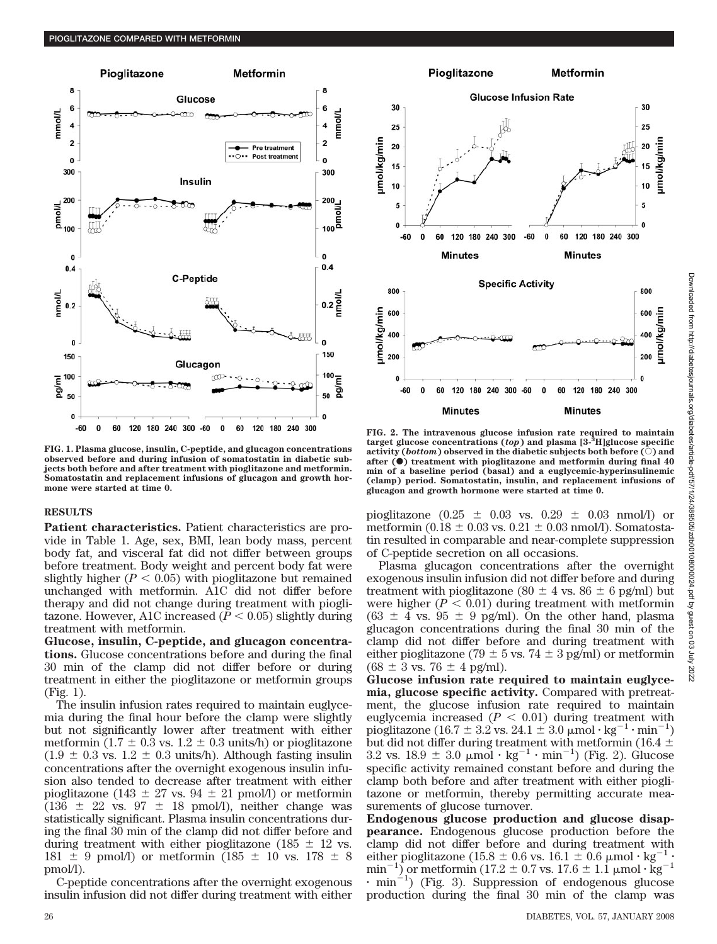

**FIG. 1. Plasma glucose, insulin, C-peptide, and glucagon concentrations observed before and during infusion of somatostatin in diabetic subjects both before and after treatment with pioglitazone and metformin. Somatostatin and replacement infusions of glucagon and growth hormone were started at time 0.**

#### **RESULTS**

**Patient characteristics.** Patient characteristics are provide in Table 1. Age, sex, BMI, lean body mass, percent body fat, and visceral fat did not differ between groups before treatment. Body weight and percent body fat were slightly higher  $(P < 0.05)$  with pioglitazone but remained unchanged with metformin. A1C did not differ before therapy and did not change during treatment with pioglitazone. However, A1C increased  $(P < 0.05)$  slightly during treatment with metformin.

**Glucose, insulin, C-peptide, and glucagon concentrations.** Glucose concentrations before and during the final 30 min of the clamp did not differ before or during treatment in either the pioglitazone or metformin groups (Fig. 1).

The insulin infusion rates required to maintain euglycemia during the final hour before the clamp were slightly but not significantly lower after treatment with either metformin  $(1.7 \pm 0.3 \text{ vs. } 1.2 \pm 0.3 \text{ units/h})$  or pioglitazone  $(1.9 \pm 0.3 \text{ vs. } 1.2 \pm 0.3 \text{ units/h})$ . Although fasting insulin concentrations after the overnight exogenous insulin infusion also tended to decrease after treatment with either pioglitazone (143  $\pm$  27 vs. 94  $\pm$  21 pmol/l) or metformin  $(136 \pm 22 \text{ vs. } 97 \pm 18 \text{ pmol/l})$ , neither change was statistically significant. Plasma insulin concentrations during the final 30 min of the clamp did not differ before and during treatment with either pioglitazone (185  $\pm$  12 vs. 181  $\pm$  9 pmol/l) or metformin (185  $\pm$  10 vs. 178  $\pm$  8 pmol/l).

C-peptide concentrations after the overnight exogenous insulin infusion did not differ during treatment with either



**FIG. 2. The intravenous glucose infusion rate required to maintain target glucose concentrations (***top***) and plasma [3-3 H]glucose specific activity (***bottom***) observed in the diabetic subjects both before**  $(\bar{\circ})$  **and after (**F**) treatment with pioglitazone and metformin during final 40 min of a baseline period (basal) and a euglycemic-hyperinsulinemic (clamp) period. Somatostatin, insulin, and replacement infusions of glucagon and growth hormone were started at time 0.**

pioglitazone ( $0.25 \pm 0.03$  vs.  $0.29 \pm 0.03$  nmol/l) or metformin ( $0.18 \pm 0.03$  vs.  $0.21 \pm 0.03$  nmol/l). Somatostatin resulted in comparable and near-complete suppression of C-peptide secretion on all occasions.

Plasma glucagon concentrations after the overnight exogenous insulin infusion did not differ before and during treatment with pioglitazone (80  $\pm$  4 vs. 86  $\pm$  6 pg/ml) but were higher  $(P < 0.01)$  during treatment with metformin  $(63 \pm 4 \text{ vs. } 95 \pm 9 \text{ pg/ml})$ . On the other hand, plasma glucagon concentrations during the final 30 min of the clamp did not differ before and during treatment with either pioglitazone (79  $\pm$  5 vs. 74  $\pm$  3 pg/ml) or metformin  $(68 \pm 3 \text{ vs. } 76 \pm 4 \text{ pg/ml}).$ 

**Glucose infusion rate required to maintain euglycemia, glucose specific activity.** Compared with pretreatment, the glucose infusion rate required to maintain euglycemia increased  $(P < 0.01)$  during treatment with pioglitazone (16.7 ± 3.2 vs. 24.1 ± 3.0  $\mu$ mol·kg<sup>-1</sup>·min<sup>-1</sup>) but did not differ during treatment with metformin (16.4  $\pm$  3.2 vs. 18.9  $\pm$  3.0  $\mu$ mol · kg<sup>-1</sup> · min<sup>-1</sup>) (Fig. 2). Glucose specific activity remained constant before and during the clamp both before and after treatment with either pioglitazone or metformin, thereby permitting accurate measurements of glucose turnover.

**Endogenous glucose production and glucose disappearance.** Endogenous glucose production before the clamp did not differ before and during treatment with either pioglitazone (15.8  $\pm$  0.6 vs. 16.1  $\pm$  0.6  $\mu$ mol·kg<sup>-1</sup>· min<sup>-1</sup>) or metformin (17.2  $\pm$  0.7 vs. 17.6  $\pm$  1.1 µmol  $\log^{-1}$  $\cdot$  min<sup>-1</sup>) (Fig. 3). Suppression of endogenous glucose production during the final 30 min of the clamp was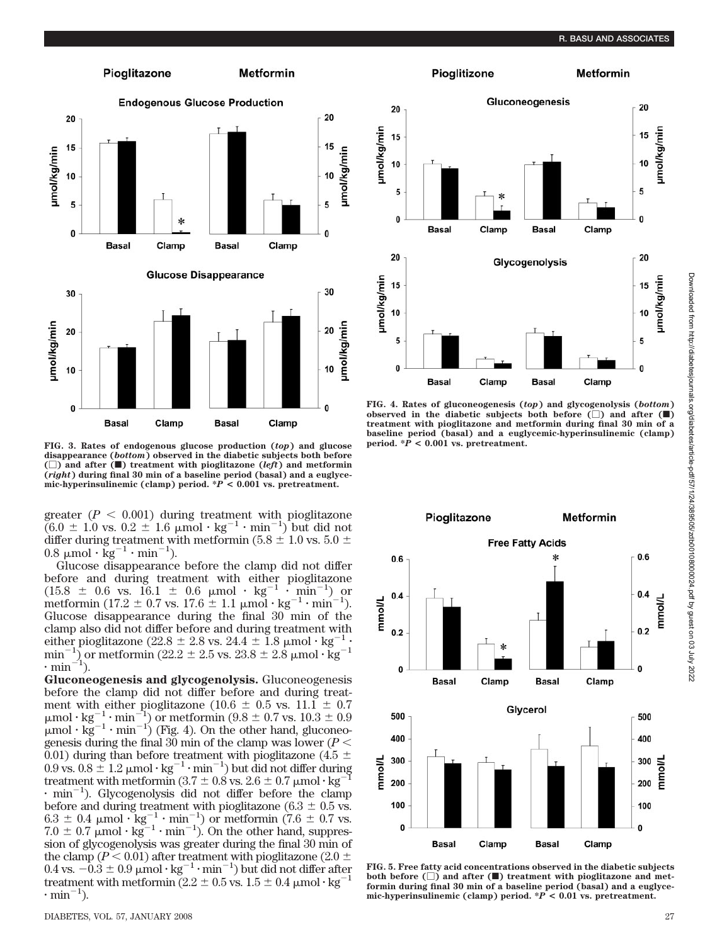

**FIG. 3. Rates of endogenous glucose production (***top***) and glucose disappearance (***bottom***) observed in the diabetic subjects both before**  $(\Box)$  and after  $(\blacksquare)$  treatment with pioglitazone  $(\mathit{left})$  and metformin **(***right***) during final 30 min of a baseline period (basal) and a euglycemic-hyperinsulinemic (clamp) period. \****P* **< 0.001 vs. pretreatment.**

greater  $(P < 0.001)$  during treatment with pioglitazone  $(6.0 \pm 1.0 \text{ vs. } 0.2 \pm 1.6 \text{ }\mu\text{mol}\cdot\text{kg}^{-1}\cdot\text{min}^{-1})$  but did not differ during treatment with metformin (5.8  $\pm$  1.0 vs. 5.0  $\pm$  $0.8 \mu$ mol·kg<sup>-1</sup>·min<sup>-1</sup>).

Glucose disappearance before the clamp did not differ before and during treatment with either pioglitazone  $(15.8 \pm 0.6 \text{ vs. } 16.1 \pm 0.6 \text{ \mu mol} \cdot \text{ kg}^{-1} \cdot \text{min}^{-1})$  or metformin (17.2  $\pm$  0.7 vs. 17.6  $\pm$  1.1  $\mu$ mol · kg<sup>-1</sup> · min<sup>-1</sup> ). Glucose disappearance during the final 30 min of the clamp also did not differ before and during treatment with either pioglitazone (22.8  $\pm$  2.8 vs. 24.4  $\pm$  1.8  $\mu$ mol·kg<sup>-1</sup>· min<sup>-1</sup>) or metformin (22.2  $\pm$  2.5 vs. 23.8  $\pm$  2.8  $\mu$ mol· $\text{kg}^{-1}$  $\cdot$  min<sup>-1</sup>).

**Gluconeogenesis and glycogenolysis.** Gluconeogenesis before the clamp did not differ before and during treatment with either pioglitazone (10.6  $\pm$  0.5 vs. 11.1  $\pm$  0.7  $\mu$ mol·kg<sup>-1</sup>·min<sup>-1</sup>) or metformin (9.8  $\pm$  0.7 vs. 10.3  $\pm$  0.9  $\mu$ mol ·  $kg^{-1}$  · min<sup>-1</sup>) (Fig. 4). On the other hand, gluconeogenesis during the final 30 min of the clamp was lower ( $P <$ 0.01) during than before treatment with pioglitazone (4.5  $\pm$  0.9 vs. 0.8  $\pm$  1.2  $\mu$ mol·kg<sup>-1</sup>·min<sup>-1</sup>) but did not differ during treatment with metformin (3.7  $\pm$  0.8 vs. 2.6  $\pm$  0.7  $\mu$ mol·kg<sup>-1</sup>  $\cdot$  min<sup>-1</sup>). Glycogenolysis did not differ before the clamp before and during treatment with pioglitazone ( $6.3 \pm 0.5$  vs.  $6.3 \pm 0.4$  µmol  $\text{kg}^{-1} \cdot \text{min}^{-1}$ ) or metformin (7.6  $\pm$  0.7 vs.  $7.0 \pm 0.7 \mu$  mol  $\cdot$  kg<sup>-1</sup>  $\cdot$  min<sup>-1</sup>). On the other hand, suppression of glycogenolysis was greater during the final 30 min of the clamp ( $P < 0.01$ ) after treatment with pioglitazone ( $2.0 \pm$  $0.4$  vs.  $-0.3 \pm 0.9$   $\mu$ mol·kg<sup>-1</sup>·min<sup>-1</sup>) but did not differ after treatment with metformin  $(2.2 \pm 0.5 \text{ vs. } 1.5 \pm 0.4 \text{ }\mu\text{mol}\cdot\text{kg}^{-1})$  $\cdot$  min<sup>-1</sup>).



**FIG. 4. Rates of gluconeogenesis (***top***) and glycogenolysis (***bottom***)** observed in the diabetic subjects both before  $(\Box)$  and after  $(\blacksquare)$ **treatment with pioglitazone and metformin during final 30 min of a baseline period (basal) and a euglycemic-hyperinsulinemic (clamp) period.**  $* \hat{P} < 0.001$  vs. pretreatment.



**FIG. 5. Free fatty acid concentrations observed in the diabetic subjects** both before  $(\Box)$  and after  $(\blacksquare)$  treatment with pioglitazone and met**formin during final 30 min of a baseline period (basal) and a euglycemic-hyperinsulinemic (clamp) period. \****P* **< 0.01 vs. pretreatment.**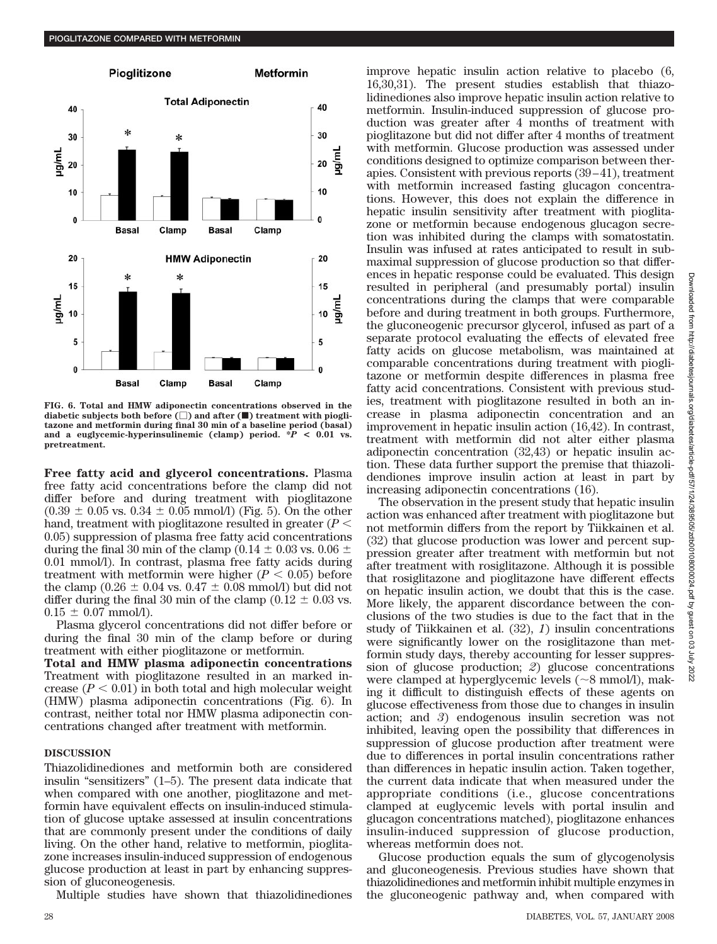

**FIG. 6. Total and HMW adiponectin concentrations observed in the** diabetic subjects both before ( $\Box$ ) and after ( $\blacksquare$ ) treatment with piogli**tazone and metformin during final 30 min of a baseline period (basal) and a euglycemic-hyperinsulinemic (clamp) period. \****P* **< 0.01 vs. pretreatment.**

**Free fatty acid and glycerol concentrations.** Plasma free fatty acid concentrations before the clamp did not differ before and during treatment with pioglitazone  $(0.39 \pm 0.05 \text{ vs. } 0.34 \pm 0.05 \text{ mmol/l})$  (Fig. 5). On the other hand, treatment with pioglitazone resulted in greater (*P* 0.05) suppression of plasma free fatty acid concentrations during the final 30 min of the clamp (0.14  $\pm$  0.03 vs. 0.06  $\pm$ 0.01 mmol/l). In contrast, plasma free fatty acids during treatment with metformin were higher  $(P < 0.05)$  before the clamp ( $0.26 \pm 0.04$  vs.  $0.47 \pm 0.08$  mmol/l) but did not differ during the final 30 min of the clamp ( $0.12 \pm 0.03$  vs.  $0.15 \pm 0.07$  mmol/l).

Plasma glycerol concentrations did not differ before or during the final 30 min of the clamp before or during treatment with either pioglitazone or metformin.

**Total and HMW plasma adiponectin concentrations** Treatment with pioglitazone resulted in an marked increase  $(P < 0.01)$  in both total and high molecular weight (HMW) plasma adiponectin concentrations (Fig. 6). In contrast, neither total nor HMW plasma adiponectin concentrations changed after treatment with metformin.

## **DISCUSSION**

Thiazolidinediones and metformin both are considered insulin "sensitizers" (1–5). The present data indicate that when compared with one another, pioglitazone and metformin have equivalent effects on insulin-induced stimulation of glucose uptake assessed at insulin concentrations that are commonly present under the conditions of daily living. On the other hand, relative to metformin, pioglitazone increases insulin-induced suppression of endogenous glucose production at least in part by enhancing suppression of gluconeogenesis.

Multiple studies have shown that thiazolidinediones

improve hepatic insulin action relative to placebo (6, 16,30,31). The present studies establish that thiazolidinediones also improve hepatic insulin action relative to metformin. Insulin-induced suppression of glucose production was greater after 4 months of treatment with pioglitazone but did not differ after 4 months of treatment with metformin. Glucose production was assessed under conditions designed to optimize comparison between therapies. Consistent with previous reports (39–41), treatment with metformin increased fasting glucagon concentrations. However, this does not explain the difference in hepatic insulin sensitivity after treatment with pioglitazone or metformin because endogenous glucagon secretion was inhibited during the clamps with somatostatin. Insulin was infused at rates anticipated to result in submaximal suppression of glucose production so that differences in hepatic response could be evaluated. This design resulted in peripheral (and presumably portal) insulin concentrations during the clamps that were comparable before and during treatment in both groups. Furthermore, the gluconeogenic precursor glycerol, infused as part of a separate protocol evaluating the effects of elevated free fatty acids on glucose metabolism, was maintained at comparable concentrations during treatment with pioglitazone or metformin despite differences in plasma free fatty acid concentrations. Consistent with previous studies, treatment with pioglitazone resulted in both an increase in plasma adiponectin concentration and an improvement in hepatic insulin action (16,42). In contrast, treatment with metformin did not alter either plasma adiponectin concentration (32,43) or hepatic insulin action. These data further support the premise that thiazolidendiones improve insulin action at least in part by increasing adiponectin concentrations (16).

The observation in the present study that hepatic insulin action was enhanced after treatment with pioglitazone but not metformin differs from the report by Tiikkainen et al. (32) that glucose production was lower and percent suppression greater after treatment with metformin but not after treatment with rosiglitazone. Although it is possible that rosiglitazone and pioglitazone have different effects on hepatic insulin action, we doubt that this is the case. More likely, the apparent discordance between the conclusions of the two studies is due to the fact that in the study of Tiikkainen et al. (32), *1*) insulin concentrations were significantly lower on the rosiglitazone than metformin study days, thereby accounting for lesser suppression of glucose production; *2*) glucose concentrations were clamped at hyperglycemic levels (~8 mmol/l), making it difficult to distinguish effects of these agents on glucose effectiveness from those due to changes in insulin action; and *3*) endogenous insulin secretion was not inhibited, leaving open the possibility that differences in suppression of glucose production after treatment were due to differences in portal insulin concentrations rather than differences in hepatic insulin action. Taken together, the current data indicate that when measured under the appropriate conditions (i.e., glucose concentrations clamped at euglycemic levels with portal insulin and glucagon concentrations matched), pioglitazone enhances insulin-induced suppression of glucose production, whereas metformin does not.

Glucose production equals the sum of glycogenolysis and gluconeogenesis. Previous studies have shown that thiazolidinediones and metformin inhibit multiple enzymes in the gluconeogenic pathway and, when compared with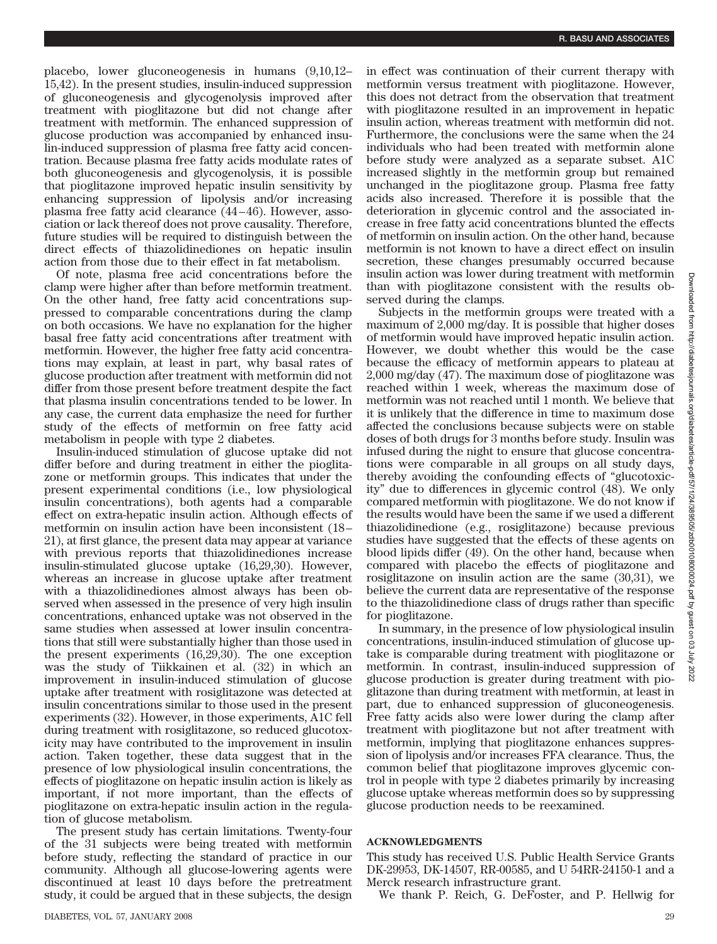placebo, lower gluconeogenesis in humans (9,10,12– 15,42). In the present studies, insulin-induced suppression of gluconeogenesis and glycogenolysis improved after treatment with pioglitazone but did not change after treatment with metformin. The enhanced suppression of glucose production was accompanied by enhanced insulin-induced suppression of plasma free fatty acid concentration. Because plasma free fatty acids modulate rates of both gluconeogenesis and glycogenolysis, it is possible that pioglitazone improved hepatic insulin sensitivity by enhancing suppression of lipolysis and/or increasing plasma free fatty acid clearance (44–46). However, association or lack thereof does not prove causality. Therefore, future studies will be required to distinguish between the direct effects of thiazolidinediones on hepatic insulin action from those due to their effect in fat metabolism.

Of note, plasma free acid concentrations before the clamp were higher after than before metformin treatment. On the other hand, free fatty acid concentrations suppressed to comparable concentrations during the clamp on both occasions. We have no explanation for the higher basal free fatty acid concentrations after treatment with metformin. However, the higher free fatty acid concentrations may explain, at least in part, why basal rates of glucose production after treatment with metformin did not differ from those present before treatment despite the fact that plasma insulin concentrations tended to be lower. In any case, the current data emphasize the need for further study of the effects of metformin on free fatty acid metabolism in people with type 2 diabetes.

Insulin-induced stimulation of glucose uptake did not differ before and during treatment in either the pioglitazone or metformin groups. This indicates that under the present experimental conditions (i.e., low physiological insulin concentrations), both agents had a comparable effect on extra-hepatic insulin action. Although effects of metformin on insulin action have been inconsistent (18– 21), at first glance, the present data may appear at variance with previous reports that thiazolidinediones increase insulin-stimulated glucose uptake (16,29,30). However, whereas an increase in glucose uptake after treatment with a thiazolidinediones almost always has been observed when assessed in the presence of very high insulin concentrations, enhanced uptake was not observed in the same studies when assessed at lower insulin concentrations that still were substantially higher than those used in the present experiments (16,29,30). The one exception was the study of Tiikkainen et al. (32) in which an improvement in insulin-induced stimulation of glucose uptake after treatment with rosiglitazone was detected at insulin concentrations similar to those used in the present experiments (32). However, in those experiments, A1C fell during treatment with rosiglitazone, so reduced glucotoxicity may have contributed to the improvement in insulin action. Taken together, these data suggest that in the presence of low physiological insulin concentrations, the effects of pioglitazone on hepatic insulin action is likely as important, if not more important, than the effects of pioglitazone on extra-hepatic insulin action in the regulation of glucose metabolism.

The present study has certain limitations. Twenty-four of the 31 subjects were being treated with metformin before study, reflecting the standard of practice in our community. Although all glucose-lowering agents were discontinued at least 10 days before the pretreatment study, it could be argued that in these subjects, the design

in effect was continuation of their current therapy with metformin versus treatment with pioglitazone. However, this does not detract from the observation that treatment with pioglitazone resulted in an improvement in hepatic insulin action, whereas treatment with metformin did not. Furthermore, the conclusions were the same when the 24 individuals who had been treated with metformin alone before study were analyzed as a separate subset. A1C increased slightly in the metformin group but remained unchanged in the pioglitazone group. Plasma free fatty acids also increased. Therefore it is possible that the deterioration in glycemic control and the associated increase in free fatty acid concentrations blunted the effects of metformin on insulin action. On the other hand, because metformin is not known to have a direct effect on insulin secretion, these changes presumably occurred because insulin action was lower during treatment with metformin than with pioglitazone consistent with the results observed during the clamps.

Subjects in the metformin groups were treated with a maximum of 2,000 mg/day. It is possible that higher doses of metformin would have improved hepatic insulin action. However, we doubt whether this would be the case because the efficacy of metformin appears to plateau at 2,000 mg/day (47). The maximum dose of pioglitazone was reached within 1 week, whereas the maximum dose of metformin was not reached until 1 month. We believe that it is unlikely that the difference in time to maximum dose affected the conclusions because subjects were on stable doses of both drugs for 3 months before study. Insulin was infused during the night to ensure that glucose concentrations were comparable in all groups on all study days, thereby avoiding the confounding effects of "glucotoxicity" due to differences in glycemic control (48). We only compared metformin with pioglitazone. We do not know if the results would have been the same if we used a different thiazolidinedione (e.g., rosiglitazone) because previous studies have suggested that the effects of these agents on blood lipids differ (49). On the other hand, because when compared with placebo the effects of pioglitazone and rosiglitazone on insulin action are the same (30,31), we believe the current data are representative of the response to the thiazolidinedione class of drugs rather than specific for pioglitazone.

In summary, in the presence of low physiological insulin concentrations, insulin-induced stimulation of glucose uptake is comparable during treatment with pioglitazone or metformin. In contrast, insulin-induced suppression of glucose production is greater during treatment with pioglitazone than during treatment with metformin, at least in part, due to enhanced suppression of gluconeogenesis. Free fatty acids also were lower during the clamp after treatment with pioglitazone but not after treatment with metformin, implying that pioglitazone enhances suppression of lipolysis and/or increases FFA clearance. Thus, the common belief that pioglitazone improves glycemic control in people with type 2 diabetes primarily by increasing glucose uptake whereas metformin does so by suppressing glucose production needs to be reexamined.

## **ACKNOWLEDGMENTS**

This study has received U.S. Public Health Service Grants DK-29953, DK-14507, RR-00585, and U 54RR-24150-1 and a Merck research infrastructure grant.

We thank P. Reich, G. DeFoster, and P. Hellwig for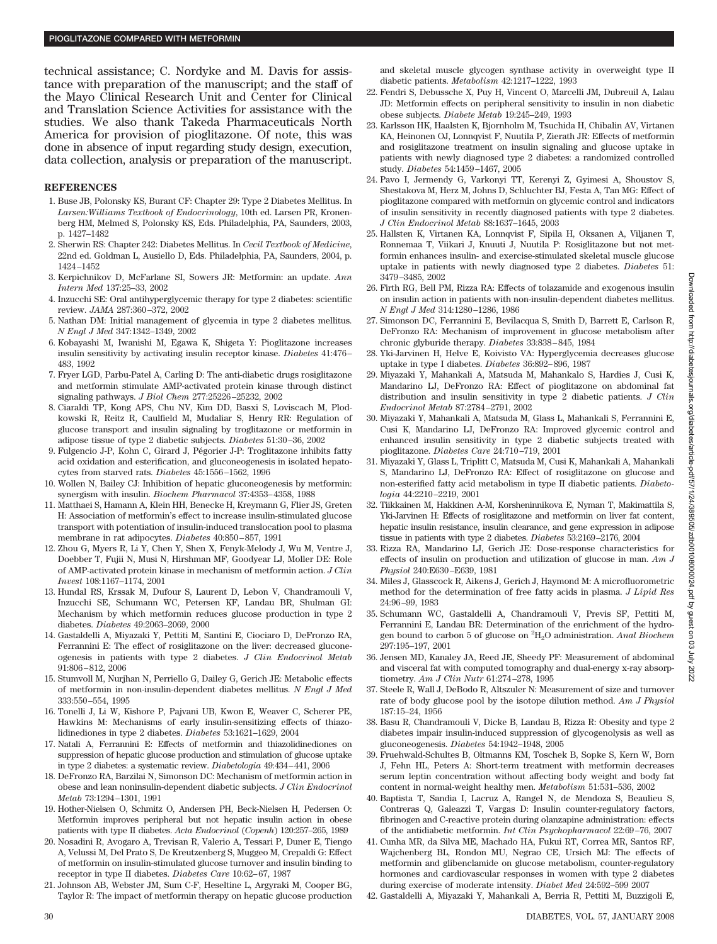technical assistance; C. Nordyke and M. Davis for assistance with preparation of the manuscript; and the staff of the Mayo Clinical Research Unit and Center for Clinical and Translation Science Activities for assistance with the studies. We also thank Takeda Pharmaceuticals North America for provision of pioglitazone. Of note, this was done in absence of input regarding study design, execution, data collection, analysis or preparation of the manuscript.

## **REFERENCES**

- 1. Buse JB, Polonsky KS, Burant CF: Chapter 29: Type 2 Diabetes Mellitus. In *Larsen:Williams Textbook of Endocrinology*, 10th ed. Larsen PR, Kronenberg HM, Melmed S, Polonsky KS, Eds. Philadelphia, PA, Saunders, 2003, p. 1427–1482
- 2. Sherwin RS: Chapter 242: Diabetes Mellitus. In *Cecil Textbook of Medicine*, 22nd ed. Goldman L, Ausiello D, Eds. Philadelphia, PA, Saunders, 2004, p. 1424–1452
- 3. Kerpichnikov D, McFarlane SI, Sowers JR: Metformin: an update. *Ann Intern Med* 137:25–33, 2002
- 4. Inzucchi SE: Oral antihyperglycemic therapy for type 2 diabetes: scientific review. *JAMA* 287:360–372, 2002
- 5. Nathan DM: Initial management of glycemia in type 2 diabetes mellitus. *N Engl J Med* 347:1342–1349, 2002
- 6. Kobayashi M, Iwanishi M, Egawa K, Shigeta Y: Pioglitazone increases insulin sensitivity by activating insulin receptor kinase. *Diabetes* 41:476– 483, 1992
- 7. Fryer LGD, Parbu-Patel A, Carling D: The anti-diabetic drugs rosiglitazone and metformin stimulate AMP-activated protein kinase through distinct signaling pathways. *J Biol Chem* 277:25226–25232, 2002
- 8. Ciaraldi TP, Kong APS, Chu NV, Kim DD, Basxi S, Loviscach M, Plodkowski R, Reitz R, Caulfield M, Mudaliar S, Henry RR: Regulation of glucose transport and insulin signaling by troglitazone or metformin in adipose tissue of type 2 diabetic subjects. *Diabetes* 51:30–36, 2002
- 9. Fulgencio J-P, Kohn C, Girard J, Pégorier J-P: Troglitazone inhibits fatty acid oxidation and esterification, and gluconeogenesis in isolated hepatocytes from starved rats. *Diabetes* 45:1556–1562, 1996
- 10. Wollen N, Bailey CJ: Inhibition of hepatic gluconeogenesis by metformin: synergism with insulin. *Biochem Pharmacol* 37:4353–4358, 1988
- 11. Matthaei S, Hamann A, Klein HH, Benecke H, Kreymann G, Flier JS, Greten H: Association of metformin's effect to increase insulin-stimulated glucose transport with potentiation of insulin-induced translocation pool to plasma membrane in rat adipocytes. *Diabetes* 40:850–857, 1991
- 12. Zhou G, Myers R, Li Y, Chen Y, Shen X, Fenyk-Melody J, Wu M, Ventre J, Doebber T, Fujii N, Musi N, Hirshman MF, Goodyear LJ, Moller DE: Role of AMP-activated protein kinase in mechanism of metformin action. *J Clin Invest* 108:1167–1174, 2001
- 13. Hundal RS, Krssak M, Dufour S, Laurent D, Lebon V, Chandramouli V, Inzucchi SE, Schumann WC, Petersen KF, Landau BR, Shulman GI: Mechanism by which metformin reduces glucose production in type 2 diabetes. *Diabetes* 49:2063–2069, 2000
- 14. Gastaldelli A, Miyazaki Y, Pettiti M, Santini E, Ciociaro D, DeFronzo RA, Ferrannini E: The effect of rosiglitazone on the liver: decreased gluconeogenesis in patients with type 2 diabetes. *J Clin Endocrinol Metab* 91:806–812, 2006
- 15. Stumvoll M, Nurjhan N, Perriello G, Dailey G, Gerich JE: Metabolic effects of metformin in non-insulin-dependent diabetes mellitus. *N Engl J Med* 333:550–554, 1995
- 16. Tonelli J, Li W, Kishore P, Pajvani UB, Kwon E, Weaver C, Scherer PE, Hawkins M: Mechanisms of early insulin-sensitizing effects of thiazolidinediones in type 2 diabetes. *Diabetes* 53:1621–1629, 2004
- 17. Natali A, Ferrannini E: Effects of metformin and thiazolidinediones on suppression of hepatic glucose production and stimulation of glucose uptake in type 2 diabetes: a systematic review. *Diabetologia* 49:434–441, 2006
- 18. DeFronzo RA, Barzilai N, Simonson DC: Mechanism of metformin action in obese and lean noninsulin-dependent diabetic subjects. *J Clin Endocrinol Metab* 73:1294–1301, 1991
- 19. Hother-Nielsen O, Schmitz O, Andersen PH, Beck-Nielsen H, Pedersen O: Metformin improves peripheral but not hepatic insulin action in obese patients with type II diabetes. *Acta Endocrinol* (*Copenh*) 120:257–265, 1989
- 20. Nosadini R, Avogaro A, Trevisan R, Valerio A, Tessari P, Duner E, Tiengo A, Velussi M, Del Prato S, De Kreutzenberg S, Muggeo M, Crepaldi G: Effect of metformin on insulin-stimulated glucose turnover and insulin binding to receptor in type II diabetes. *Diabetes Care* 10:62–67, 1987
- 21. Johnson AB, Webster JM, Sum C-F, Heseltine L, Argyraki M, Cooper BG, Taylor R: The impact of metformin therapy on hepatic glucose production

and skeletal muscle glycogen synthase activity in overweight type II diabetic patients. *Metabolism* 42:1217–1222, 1993

- 22. Fendri S, Debussche X, Puy H, Vincent O, Marcelli JM, Dubreuil A, Lalau JD: Metformin effects on peripheral sensitivity to insulin in non diabetic obese subjects. *Diabete Metab* 19:245–249, 1993
- 23. Karlsson HK, Haalsten K, Bjornholm M, Tsuchida H, Chibalin AV, Virtanen KA, Heinonen OJ, Lonnqvist F, Nuutila P, Zierath JR: Effects of metformin and rosiglitazone treatment on insulin signaling and glucose uptake in patients with newly diagnosed type 2 diabetes: a randomized controlled study. *Diabetes* 54:1459–1467, 2005
- 24. Pavo I, Jermendy G, Varkonyi TT, Kerenyi Z, Gyimesi A, Shoustov S, Shestakova M, Herz M, Johns D, Schluchter BJ, Festa A, Tan MG: Effect of pioglitazone compared with metformin on glycemic control and indicators of insulin sensitivity in recently diagnosed patients with type 2 diabetes. *J Clin Endocrinol Metab* 88:1637–1645, 2003
- 25. Hallsten K, Virtanen KA, Lonnqvist F, Sipila H, Oksanen A, Viljanen T, Ronnemaa T, Viikari J, Knuuti J, Nuutila P: Rosiglitazone but not metformin enhances insulin- and exercise-stimulated skeletal muscle glucose uptake in patients with newly diagnosed type 2 diabetes. *Diabetes* 51: 3479–3485, 2002
- 26. Firth RG, Bell PM, Rizza RA: Effects of tolazamide and exogenous insulin on insulin action in patients with non-insulin-dependent diabetes mellitus. *N Engl J Med* 314:1280–1286, 1986
- 27. Simonson DC, Ferrannini E, Bevilacqua S, Smith D, Barrett E, Carlson R, DeFronzo RA: Mechanism of improvement in glucose metabolism after chronic glyburide therapy. *Diabetes* 33:838–845, 1984
- 28. Yki-Jarvinen H, Helve E, Koivisto VA: Hyperglycemia decreases glucose uptake in type I diabetes. *Diabetes* 36:892–896, 1987
- 29. Miyazaki Y, Mahankali A, Matsuda M, Mahankalo S, Hardies J, Cusi K, Mandarino LJ, DeFronzo RA: Effect of pioglitazone on abdominal fat distribution and insulin sensitivity in type 2 diabetic patients. *J Clin Endocrinol Metab* 87:2784–2791, 2002
- 30. Miyazaki Y, Mahankali A, Matsuda M, Glass L, Mahankali S, Ferrannini E, Cusi K, Mandarino LJ, DeFronzo RA: Improved glycemic control and enhanced insulin sensitivity in type 2 diabetic subjects treated with pioglitazone. *Diabetes Care* 24:710–719, 2001
- 31. Miyazaki Y, Glass L, Triplitt C, Matsuda M, Cusi K, Mahankali A, Mahankali S, Mandarino LJ, DeFronzo RA: Effect of rosiglitazone on glucose and non-esterified fatty acid metabolism in type II diabetic patients. *Diabetologia* 44:2210–2219, 2001
- 32. Tiikkainen M, Hakkinen A-M, Korsheninnikova E, Nyman T, Makimattila S, Yki-Jarvinen H: Effects of rosiglitazone and metformin on liver fat content, hepatic insulin resistance, insulin clearance, and gene expression in adipose tissue in patients with type 2 diabetes. *Diabetes* 53:2169–2176, 2004
- 33. Rizza RA, Mandarino LJ, Gerich JE: Dose-response characteristics for effects of insulin on production and utilization of glucose in man. *Am J Physiol* 240:E630–E639, 1981
- 34. Miles J, Glasscock R, Aikens J, Gerich J, Haymond M: A microfluorometric method for the determination of free fatty acids in plasma. *J Lipid Res* 24:96–99, 1983
- 35. Schumann WC, Gastaldelli A, Chandramouli V, Previs SF, Pettiti M, Ferrannini E, Landau BR: Determination of the enrichment of the hydrogen bound to carbon 5 of glucose on <sup>2</sup> H2O administration. *Anal Biochem* 297:195–197, 2001
- 36. Jensen MD, Kanaley JA, Reed JE, Sheedy PF: Measurement of abdominal and visceral fat with computed tomography and dual-energy x-ray absorptiometry. *Am J Clin Nutr* 61:274–278, 1995
- 37. Steele R, Wall J, DeBodo R, Altszuler N: Measurement of size and turnover rate of body glucose pool by the isotope dilution method. *Am J Physiol* 187:15–24, 1956
- 38. Basu R, Chandramouli V, Dicke B, Landau B, Rizza R: Obesity and type 2 diabetes impair insulin-induced suppression of glycogenolysis as well as gluconeogenesis. *Diabetes* 54:1942–1948, 2005
- 39. Fruehwald-Schultes B, Oltmanns KM, Toschek B, Sopke S, Kern W, Born J, Fehn HL, Peters A: Short-term treatment with metformin decreases serum leptin concentration without affecting body weight and body fat content in normal-weight healthy men. *Metabolism* 51:531–536, 2002
- 40. Baptista T, Sandia I, Lacruz A, Rangel N, de Mendoza S, Beaulieu S, Contreras Q, Galeazzi T, Vargas D: Insulin counter-regulatory factors, fibrinogen and C-reactive protein during olanzapine administration: effects of the antidiabetic metformin. *Int Clin Psychopharmacol* 22:69–76, 2007
- 41. Cunha MR, da Silva ME, Machado HA, Fukui RT, Correa MR, Santos RF, Wajchenberg BL, Rondon MU, Negrao CE, Ursich MJ: The effects of metformin and glibenclamide on glucose metabolism, counter-regulatory hormones and cardiovascular responses in women with type 2 diabetes during exercise of moderate intensity. *Diabet Med* 24:592–599 2007
- 42. Gastaldelli A, Miyazaki Y, Mahankali A, Berria R, Pettiti M, Buzzigoli E,